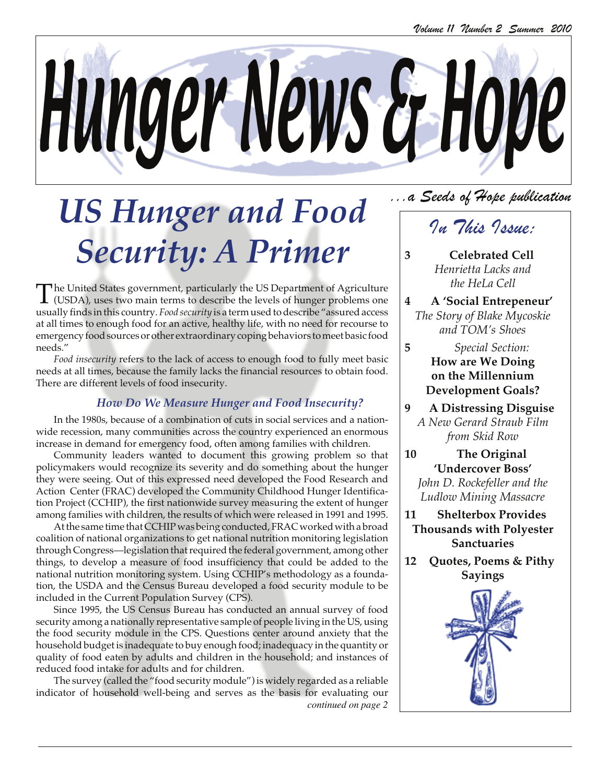

# *US Hunger and Food Security: A Primer*

The United States government, particularly the US Department of Agriculture<br>(USDA), uses two main terms to describe the levels of hunger problems one<br>may be the level of the level of the level of the level of the level of usually finds in this country. *Food security* is a term used to describe "assured access at all times to enough food for an active, healthy life, with no need for recourse to emergency food sources or other extraordinary coping behaviors to meet basic food needs."

*Food insecurity* refers to the lack of access to enough food to fully meet basic needs at all times, because the family lacks the financial resources to obtain food. There are different levels of food insecurity.

## *How Do We Measure Hunger and Food Insecurity?*

In the 1980s, because of a combination of cuts in social services and a nationwide recession, many communities across the country experienced an enormous increase in demand for emergency food, often among families with children.

Community leaders wanted to document this growing problem so that policymakers would recognize its severity and do something about the hunger they were seeing. Out of this expressed need developed the Food Research and Action Center (FRAC) developed the Community Childhood Hunger Identification Project (CCHIP), the first nationwide survey measuring the extent of hunger among families with children, the results of which were released in 1991 and 1995.

At the same time that CCHIP was being conducted, FRAC worked with a broad coalition of national organizations to get national nutrition monitoring legislation through Congress—legislation that required the federal government, among other things, to develop a measure of food insufficiency that could be added to the national nutrition monitoring system. Using CCHIP's methodology as a foundation, the USDA and the Census Bureau developed a food security module to be included in the Current Population Survey (CPS).

Since 1995, the US Census Bureau has conducted an annual survey of food security among a nationally representative sample of people living in the US, using the food security module in the CPS. Questions center around anxiety that the household budget is inadequate to buy enough food; inadequacy in the quantity or quality of food eaten by adults and children in the household; and instances of reduced food intake for adults and for children.

The survey (called the "food security module") is widely regarded as a reliable indicator of household well-being and serves as the basis for evaluating our *continued on page 2*

## ...a Seeds of Hope publication

## In This Issue:

- **3 Celebrated Cell** *Henrietta Lacks and the HeLa Cell*
- **4 A 'Social Entrepeneur'** *The Story of Blake Mycoskie and TOM's Shoes*
- **5** *Special Section:* **How are We Doing on the Millennium Development Goals?**
- **9 A Distressing Disguise** *A New Gerard Straub Film from Skid Row*
- **10 The Original 'Undercover Boss'** *John D. Rockefeller and the Ludlow Mining Massacre*
- **11 Shelterbox Provides Thousands with Polyester Sanctuaries**
- **12 Quotes, Poems & Pithy Sayings**

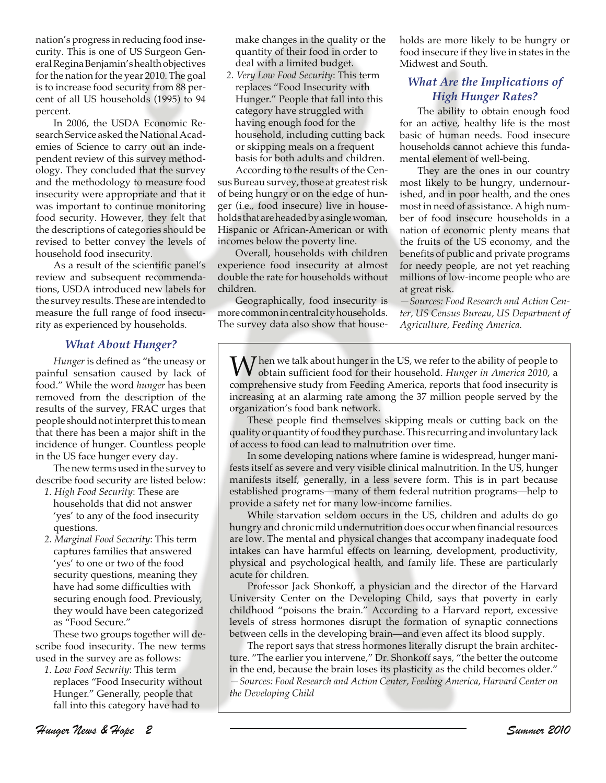nation's progress in reducing food insecurity. This is one of US Surgeon General Regina Benjamin's health objectives for the nation for the year 2010. The goal is to increase food security from 88 percent of all US households (1995) to 94 percent.

In 2006, the USDA Economic Research Service asked the National Academies of Science to carry out an independent review of this survey methodology. They concluded that the survey and the methodology to measure food insecurity were appropriate and that it was important to continue monitoring food security. However, they felt that the descriptions of categories should be revised to better convey the levels of household food insecurity.

As a result of the scientific panel's review and subsequent recommendations, USDA introduced new labels for the survey results. These are intended to measure the full range of food insecurity as experienced by households.

### *What About Hunger?*

*Hunger* is defined as "the uneasy or painful sensation caused by lack of food." While the word *hunger* has been removed from the description of the results of the survey, FRAC urges that people should not interpret this to mean that there has been a major shift in the incidence of hunger. Countless people in the US face hunger every day.

The new terms used in the survey to describe food security are listed below:

- *1. High Food Security*: These are households that did not answer 'yes' to any of the food insecurity questions.
- *2. Marginal Food Security*: This term captures families that answered 'yes' to one or two of the food security questions, meaning they have had some difficulties with securing enough food. Previously, they would have been categorized as "Food Secure."

These two groups together will describe food insecurity. The new terms used in the survey are as follows:

*1. Low Food Security*: This term replaces "Food Insecurity without Hunger." Generally, people that fall into this category have had to

make changes in the quality or the quantity of their food in order to deal with a limited budget.

*2. Very Low Food Security*: This term replaces "Food Insecurity with Hunger." People that fall into this category have struggled with having enough food for the household, including cutting back or skipping meals on a frequent basis for both adults and children.

According to the results of the Census Bureau survey, those at greatest risk of being hungry or on the edge of hunger (i.e., food insecure) live in households that are headed by a single woman, Hispanic or African-American or with incomes below the poverty line.

Overall, households with children experience food insecurity at almost double the rate for households without children.

Geographically, food insecurity is more common in central city households. The survey data also show that households are more likely to be hungry or food insecure if they live in states in the Midwest and South.

### *What Are the Implications of High Hunger Rates?*

The ability to obtain enough food for an active, healthy life is the most basic of human needs. Food insecure households cannot achieve this fundamental element of well-being.

They are the ones in our country most likely to be hungry, undernourished, and in poor health, and the ones most in need of assistance. A high number of food insecure households in a nation of economic plenty means that the fruits of the US economy, and the benefits of public and private programs for needy people, are not yet reaching millions of low-income people who are at great risk.

*—Sources: Food Research and Action Center, US Census Bureau, US Department of Agriculture, Feeding America.*

 $\mathbf{W}$  hen we talk about hunger in the US, we refer to the ability of people to obtain sufficient food for their household. *Hunger in America 2010*, a comprehensive study from Feeding America, reports that food insecurity is increasing at an alarming rate among the 37 million people served by the organization's food bank network.

These people find themselves skipping meals or cutting back on the quality or quantity of food they purchase. This recurring and involuntary lack of access to food can lead to malnutrition over time.

In some developing nations where famine is widespread, hunger manifests itself as severe and very visible clinical malnutrition. In the US, hunger manifests itself, generally, in a less severe form. This is in part because established programs—many of them federal nutrition programs—help to provide a safety net for many low-income families.

While starvation seldom occurs in the US, children and adults do go hungry and chronic mild undernutrition does occur when financial resources are low. The mental and physical changes that accompany inadequate food intakes can have harmful effects on learning, development, productivity, physical and psychological health, and family life. These are particularly acute for children.

Professor Jack Shonkoff, a physician and the director of the Harvard University Center on the Developing Child, says that poverty in early childhood "poisons the brain." According to a Harvard report, excessive levels of stress hormones disrupt the formation of synaptic connections between cells in the developing brain—and even affect its blood supply.

The report says that stress hormones literally disrupt the brain architecture. "The earlier you intervene," Dr. Shonkoff says, "the better the outcome in the end, because the brain loses its plasticity as the child becomes older." *—Sources: Food Research and Action Center, Feeding America, Harvard Center on the Developing Child*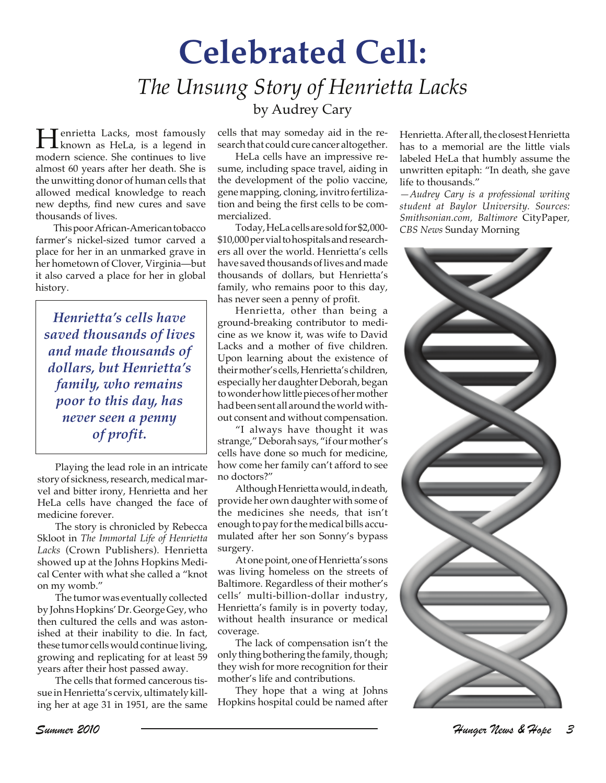## **Celebrated Cell:** *The Unsung Story of Henrietta Lacks* by Audrey Cary

**Henrietta Lacks, most famously<br>known as HeLa, is a legend in**<br>modern existence She continues to live modern science. She continues to live almost 60 years after her death. She is the unwitting donor of human cells that allowed medical knowledge to reach new depths, find new cures and save thousands of lives.

This poor African-American tobacco farmer's nickel-sized tumor carved a place for her in an unmarked grave in her hometown of Clover, Virginia—but it also carved a place for her in global history.

*Henrietta's cells have saved thousands of lives and made thousands of dollars, but Henrietta's family, who remains poor to this day, has never seen a penny of profit.*

Playing the lead role in an intricate story of sickness, research, medical marvel and bitter irony, Henrietta and her HeLa cells have changed the face of medicine forever.

The story is chronicled by Rebecca Skloot in *The Immortal Life of Henrietta Lacks* (Crown Publishers). Henrietta showed up at the Johns Hopkins Medical Center with what she called a "knot on my womb."

The tumor was eventually collected by Johns Hopkins' Dr. George Gey, who then cultured the cells and was astonished at their inability to die. In fact, these tumor cells would continue living, growing and replicating for at least 59 years after their host passed away.

The cells that formed cancerous tissue in Henrietta's cervix, ultimately killing her at age 31 in 1951, are the same cells that may someday aid in the research that could cure cancer altogether.

HeLa cells have an impressive resume, including space travel, aiding in the development of the polio vaccine, gene mapping, cloning, invitro fertilization and being the first cells to be commercialized.

Today, HeLa cells are sold for \$2,000- \$10,000 per vial to hospitals and researchers all over the world. Henrietta's cells have saved thousands of lives and made thousands of dollars, but Henrietta's family, who remains poor to this day, has never seen a penny of profit.

Henrietta, other than being a ground-breaking contributor to medicine as we know it, was wife to David Lacks and a mother of five children. Upon learning about the existence of their mother's cells, Henrietta's children, especially her daughter Deborah, began to wonder how little pieces of her mother had been sent all around the world without consent and without compensation.

"I always have thought it was strange," Deborah says, "if our mother's cells have done so much for medicine, how come her family can't afford to see no doctors?"

Although Henrietta would, in death, provide her own daughter with some of the medicines she needs, that isn't enough to pay for the medical bills accumulated after her son Sonny's bypass surgery.

At one point, one of Henrietta's sons was living homeless on the streets of Baltimore. Regardless of their mother's cells' multi-billion-dollar industry, Henrietta's family is in poverty today, without health insurance or medical coverage.

The lack of compensation isn't the only thing bothering the family, though; they wish for more recognition for their mother's life and contributions.

They hope that a wing at Johns Hopkins hospital could be named after Henrietta. After all, the closest Henrietta has to a memorial are the little vials labeled HeLa that humbly assume the unwritten epitaph: "In death, she gave life to thousands."

*—Audrey Cary is a professional writing student at Baylor University. Sources: Smithsonian.com, Baltimore* CityPaper*, CBS News* Sunday Morning

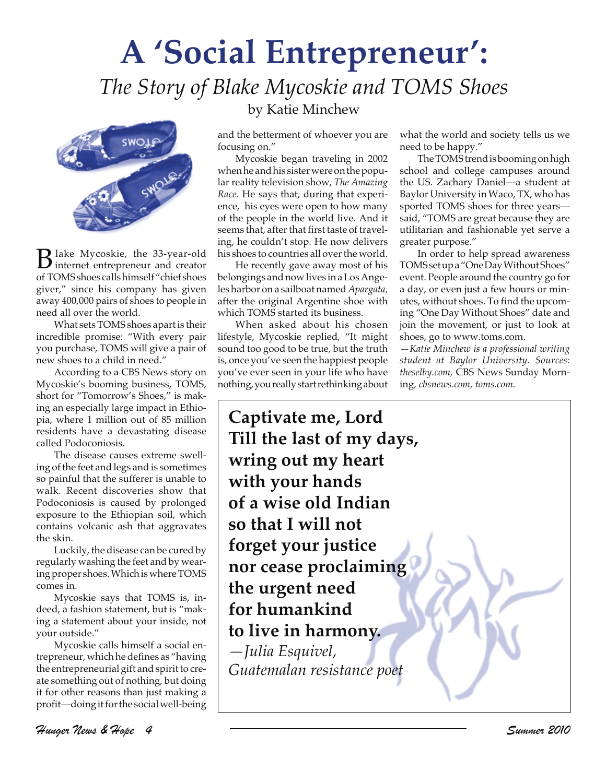## **A 'Social Entrepreneur':** *The Story of Blake Mycoskie and TOMS Shoes*



Blake Mycoskie, the 33-year-old internet entrepreneur and creator of TOMS shoes calls himself "chief shoes giver," since his company has given away 400,000 pairs of shoes to people in need all over the world.

What sets TOMS shoes apart is their incredible promise: "With every pair you purchase, TOMS will give a pair of new shoes to a child in need."

According to a CBS News story on Mycoskie's booming business, TOMS, short for "Tomorrow's Shoes," is making an especially large impact in Ethiopia, where 1 million out of 85 million residents have a devastating disease called Podoconiosis.

The disease causes extreme swelling of the feet and legs and is sometimes so painful that the sufferer is unable to walk. Recent discoveries show that Podoconiosis is caused by prolonged exposure to the Ethiopian soil, which contains volcanic ash that aggravates the skin.

Luckily, the disease can be cured by regularly washing the feet and by wearing proper shoes. Which is where TOMS comes in.

Mycoskie says that TOMS is, indeed, a fashion statement, but is "making a statement about your inside, not your outside."

Mycoskie calls himself a social entrepreneur, which he defines as "having the entrepreneurial gift and spirit to create something out of nothing, but doing it for other reasons than just making a profit—doing it for the social well-being

## by Katie Minchew

and the betterment of whoever you are focusing on."

Mycoskie began traveling in 2002 when he and his sister were on the popular reality television show, *The Amazing Race*. He says that, during that experience, his eyes were open to how many of the people in the world live. And it seems that, after that first taste of traveling, he couldn't stop. He now delivers his shoes to countries all over the world.

He recently gave away most of his belongings and now lives in a Los Angeles harbor on a sailboat named *Apargata,* after the original Argentine shoe with which TOMS started its business.

When asked about his chosen lifestyle, Mycoskie replied, "It might sound too good to be true, but the truth is, once you've seen the happiest people you've ever seen in your life who have nothing, you really start rethinking about what the world and society tells us we need to be happy."

The TOMS trend is booming on high school and college campuses around the US. Zachary Daniel—a student at Baylor University in Waco, TX, who has sported TOMS shoes for three years said, "TOMS are great because they are utilitarian and fashionable yet serve a greater purpose."

In order to help spread awareness TOMS set up a "One Day Without Shoes" event. People around the country go for a day, or even just a few hours or minutes, without shoes. To find the upcoming "One Day Without Shoes" date and join the movement, or just to look at shoes, go to www.toms.com.

*—Katie Minchew is a professional writing student at Baylor University. Sources: theselby.com,* CBS News Sunday Morning*, cbsnews.com, toms.com.*

**Captivate me, Lord Till the last of my days, wring out my heart with your hands of a wise old Indian so that I will not forget your justice nor cease proclaiming the urgent need for humankind to live in harmony.** *—Julia Esquivel, Guatemalan resistance poet*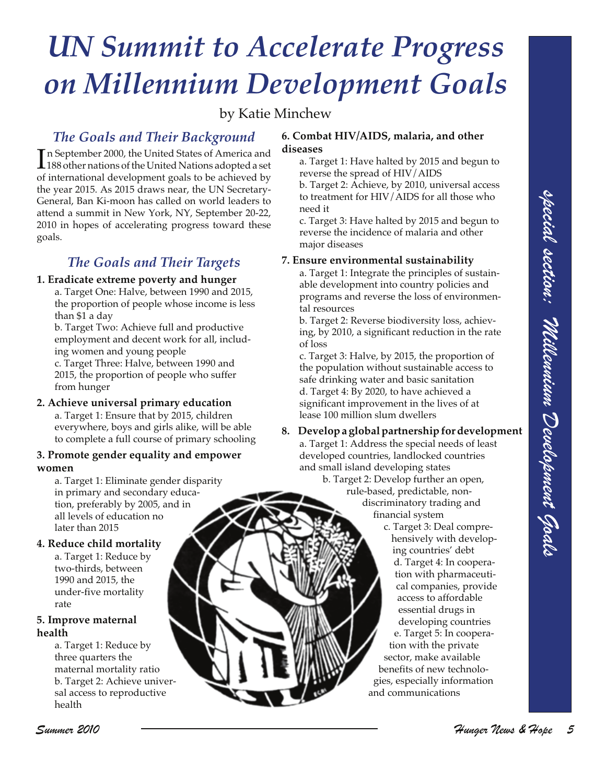# *UN Summit to Accelerate Progress on Millennium Development Goals*

by Katie Minchew

## *The Goals and Their Background*

In September 2000, the United States of America and<br>188 other nations of the United Nations adopted a set 188 other nations of the United Nations adopted a set of international development goals to be achieved by the year 2015. As 2015 draws near, the UN Secretary-General, Ban Ki-moon has called on world leaders to attend a summit in New York, NY, September 20-22, 2010 in hopes of accelerating progress toward these goals.

## *The Goals and Their Targets*

### **1. Eradicate extreme poverty and hunger**

a. Target One: Halve, between 1990 and 2015, the proportion of people whose income is less than \$1 a day

b. Target Two: Achieve full and productive employment and decent work for all, including women and young people

c. Target Three: Halve, between 1990 and 2015, the proportion of people who suffer from hunger

### **2. Achieve universal primary education**

a. Target 1: Ensure that by 2015, children everywhere, boys and girls alike, will be able to complete a full course of primary schooling

### **3. Promote gender equality and empower women**

a. Target 1: Eliminate gender disparity in primary and secondary education, preferably by 2005, and in all levels of education no later than 2015

### **4. Reduce child mortality**

a. Target 1: Reduce by two-thirds, between 1990 and 2015, the under-five mortality rate

#### **5. Improve maternal health**

a. Target 1: Reduce by three quarters the maternal mortality ratio b. Target 2: Achieve universal access to reproductive health

### **6. Combat HIV/AIDS, malaria, and other diseases**

- a. Target 1: Have halted by 2015 and begun to reverse the spread of HIV/AIDS
- b. Target 2: Achieve, by 2010, universal access to treatment for HIV/AIDS for all those who need it

c. Target 3: Have halted by 2015 and begun to reverse the incidence of malaria and other major diseases

### **7. Ensure environmental sustainability**

a. Target 1: Integrate the principles of sustainable development into country policies and programs and reverse the loss of environmental resources

b. Target 2: Reverse biodiversity loss, achieving, by 2010, a significant reduction in the rate of loss

c. Target 3: Halve, by 2015, the proportion of the population without sustainable access to safe drinking water and basic sanitation d. Target 4: By 2020, to have achieved a significant improvement in the lives of at lease 100 million slum dwellers

## **8. Develop a global partnership for development**

a. Target 1: Address the special needs of least developed countries, landlocked countries and small island developing states

> b. Target 2: Develop further an open, rule-based, predictable, nondiscriminatory trading and financial system

Control in Summarized Summarized Summarized Summarized Summarized Summarized Summarized Summarized Summarized Summarized Summarized Summarized Summarized Summarized Summarized Summarized Summarized Summarized Summarized S c. Target 3: Deal comprehensively with developing countries' debt d. Target 4: In cooperation with pharmaceutical companies, provide access to affordable essential drugs in developing countries e. Target 5: In cooperation with the private sector, make available benefits of new technologies, especially information and communications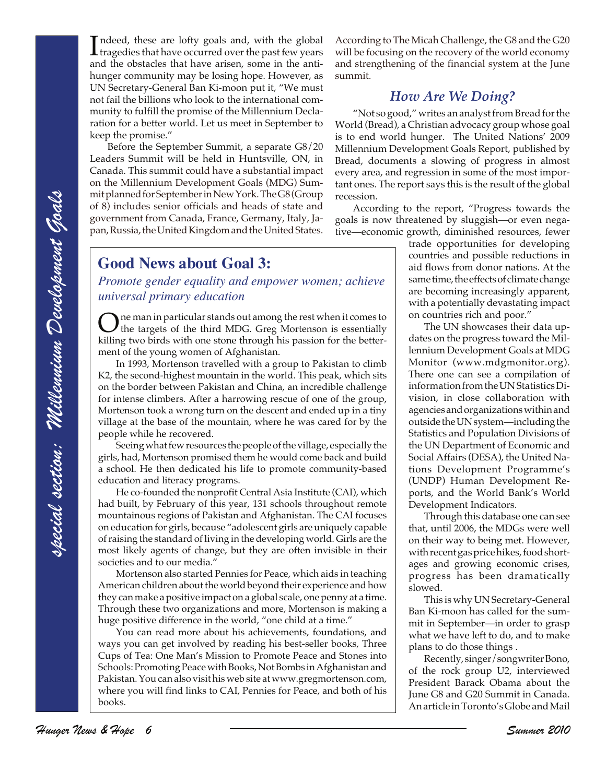Indeed, these are lofty goals and, with the global tragedies that have occurred over the past few years ndeed, these are lofty goals and, with the global and the obstacles that have arisen, some in the antihunger community may be losing hope. However, as UN Secretary-General Ban Ki-moon put it, "We must not fail the billions who look to the international community to fulfill the promise of the Millennium Declaration for a better world. Let us meet in September to keep the promise."

Before the September Summit, a separate G8/20 Leaders Summit will be held in Huntsville, ON, in Canada. This summit could have a substantial impact on the Millennium Development Goals (MDG) Summit planned for September in New York. The G8 (Group of 8) includes senior officials and heads of state and government from Canada, France, Germany, Italy, Japan, Russia, the United Kingdom and the United States.

## **Good News about Goal 3:**

*Promote gender equality and empower women; achieve universal primary education*

One man in particular stands out among the rest when it comes to<br>the targets of the third MDG. Greg Mortenson is essentially<br>in this particular the batter killing two birds with one stone through his passion for the betterment of the young women of Afghanistan.

In 1993, Mortenson travelled with a group to Pakistan to climb K2, the second-highest mountain in the world. This peak, which sits on the border between Pakistan and China, an incredible challenge for intense climbers. After a harrowing rescue of one of the group, Mortenson took a wrong turn on the descent and ended up in a tiny village at the base of the mountain, where he was cared for by the people while he recovered.

Seeing what few resources the people of the village, especially the girls, had, Mortenson promised them he would come back and build a school. He then dedicated his life to promote community-based education and literacy programs.

He co-founded the nonprofit Central Asia Institute (CAI), which had built, by February of this year, 131 schools throughout remote mountainous regions of Pakistan and Afghanistan. The CAI focuses on education for girls, because "adolescent girls are uniquely capable of raising the standard of living in the developing world. Girls are the most likely agents of change, but they are often invisible in their societies and to our media."

Mortenson also started Pennies for Peace, which aids in teaching American children about the world beyond their experience and how they can make a positive impact on a global scale, one penny at a time. Through these two organizations and more, Mortenson is making a huge positive difference in the world, "one child at a time."

You can read more about his achievements, foundations, and ways you can get involved by reading his best-seller books, Three Cups of Tea: One Man's Mission to Promote Peace and Stones into Schools: Promoting Peace with Books, Not Bombs in Afghanistan and Pakistan. You can also visit his web site at www.gregmortenson.com, where you will find links to CAI, Pennies for Peace, and both of his books.

According to The Micah Challenge, the G8 and the G20 will be focusing on the recovery of the world economy and strengthening of the financial system at the June summit.

## *How Are We Doing?*

"Not so good," writes an analyst from Bread for the World (Bread), a Christian advocacy group whose goal is to end world hunger. The United Nations' 2009 Millennium Development Goals Report, published by Bread, documents a slowing of progress in almost every area, and regression in some of the most important ones. The report says this is the result of the global recession.

According to the report, "Progress towards the goals is now threatened by sluggish—or even negative—economic growth, diminished resources, fewer

trade opportunities for developing countries and possible reductions in aid flows from donor nations. At the same time, the effects of climate change are becoming increasingly apparent, with a potentially devastating impact on countries rich and poor."

The UN showcases their data updates on the progress toward the Millennium Development Goals at MDG Monitor (www.mdgmonitor.org). There one can see a compilation of information from the UN Statistics Division, in close collaboration with agencies and organizations within and outside the UN system—including the Statistics and Population Divisions of the UN Department of Economic and Social Affairs (DESA), the United Nations Development Programme's (UNDP) Human Development Reports, and the World Bank's World Development Indicators.

Through this database one can see that, until 2006, the MDGs were well on their way to being met. However, with recent gas price hikes, food shortages and growing economic crises, progress has been dramatically slowed.

This is why UN Secretary-General Ban Ki-moon has called for the summit in September—in order to grasp what we have left to do, and to make plans to do those things .

Recently, singer/songwriter Bono, of the rock group U2, interviewed President Barack Obama about the June G8 and G20 Summit in Canada. An article in Toronto's Globe and Mail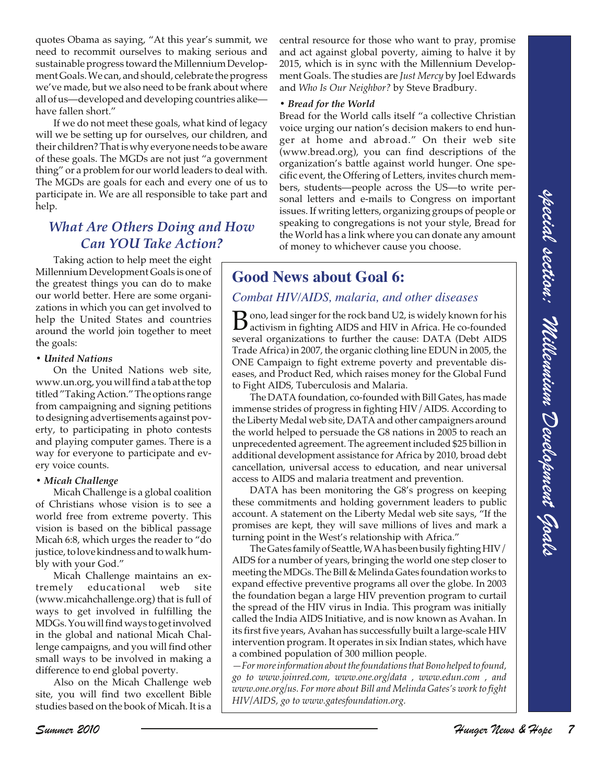quotes Obama as saying, "At this year's summit, we need to recommit ourselves to making serious and sustainable progress toward the Millennium Development Goals. We can, and should, celebrate the progress we've made, but we also need to be frank about where all of us—developed and developing countries alike have fallen short."

If we do not meet these goals, what kind of legacy will we be setting up for ourselves, our children, and their children? That is why everyone needs to be aware of these goals. The MGDs are not just "a government thing" or a problem for our world leaders to deal with. The MGDs are goals for each and every one of us to participate in. We are all responsible to take part and help.

## *What Are Others Doing and How Can YOU Take Action?*

Taking action to help meet the eight Millennium Development Goals is one of the greatest things you can do to make our world better. Here are some organizations in which you can get involved to help the United States and countries around the world join together to meet the goals:

#### *• United Nations*

On the United Nations web site, www.un.org, you will find a tab at the top titled "Taking Action." The options range from campaigning and signing petitions to designing advertisements against poverty, to participating in photo contests and playing computer games. There is a way for everyone to participate and every voice counts.

#### *• Micah Challenge*

Micah Challenge is a global coalition of Christians whose vision is to see a world free from extreme poverty. This vision is based on the biblical passage Micah 6:8, which urges the reader to "do justice, to love kindness and to walk humbly with your God."

Micah Challenge maintains an extremely educational web site (www.micahchallenge.org) that is full of ways to get involved in fulfilling the MDGs. You will find ways to get involved in the global and national Micah Challenge campaigns, and you will find other small ways to be involved in making a difference to end global poverty.

Also on the Micah Challenge web site, you will find two excellent Bible studies based on the book of Micah. It is a central resource for those who want to pray, promise and act against global poverty, aiming to halve it by 2015, which is in sync with the Millennium Development Goals. The studies are *Just Mercy* by Joel Edwards and *Who Is Our Neighbor?* by Steve Bradbury.

#### *• Bread for the World*

Bread for the World calls itself "a collective Christian voice urging our nation's decision makers to end hunger at home and abroad." On their web site (www.bread.org), you can find descriptions of the organization's battle against world hunger. One specific event, the Offering of Letters, invites church members, students—people across the US—to write personal letters and e-mails to Congress on important issues. If writing letters, organizing groups of people or speaking to congregations is not your style, Bread for the World has a link where you can donate any amount of money to whichever cause you choose.

## **Good News about Goal 6:**

### *Combat HIV/AIDS, malaria, and other diseases*

**B** ono, lead singer for the rock band U2, is widely known for his activism in fighting AIDS and HIV in Africa. He co-founded several organizations to further the cause: DATA (Debt AIDS Trade Africa) in 2007, the organic clothing line EDUN in 2005, the ONE Campaign to fight extreme poverty and preventable diseases, and Product Red, which raises money for the Global Fund to Fight AIDS, Tuberculosis and Malaria.

The DATA foundation, co-founded with Bill Gates, has made immense strides of progress in fighting HIV/AIDS. According to the Liberty Medal web site, DATA and other campaigners around the world helped to persuade the G8 nations in 2005 to reach an unprecedented agreement. The agreement included \$25 billion in additional development assistance for Africa by 2010, broad debt cancellation, universal access to education, and near universal access to AIDS and malaria treatment and prevention.

DATA has been monitoring the G8's progress on keeping these commitments and holding government leaders to public account. A statement on the Liberty Medal web site says, "If the promises are kept, they will save millions of lives and mark a turning point in the West's relationship with Africa."

perfection. It that are not responsible to take part and section is comparison in any other in the special section is the comparison in the properties of the special section is the special section in the special section i The Gates family of Seattle, WA has been busily fighting HIV/ AIDS for a number of years, bringing the world one step closer to meeting the MDGs. The Bill & Melinda Gates foundation works to expand effective preventive programs all over the globe. In 2003 the foundation began a large HIV prevention program to curtail the spread of the HIV virus in India. This program was initially called the India AIDS Initiative, and is now known as Avahan. In its first five years, Avahan has successfully built a large-scale HIV intervention program. It operates in six Indian states, which have a combined population of 300 million people.

*—For more information about the foundations that Bono helped to found, go to www.joinred.com, www.one.org/data , www.edun.com , and www.one.org/us. For more about Bill and Melinda Gates's work to fight HIV/AIDS, go to www.gatesfoundation.org.*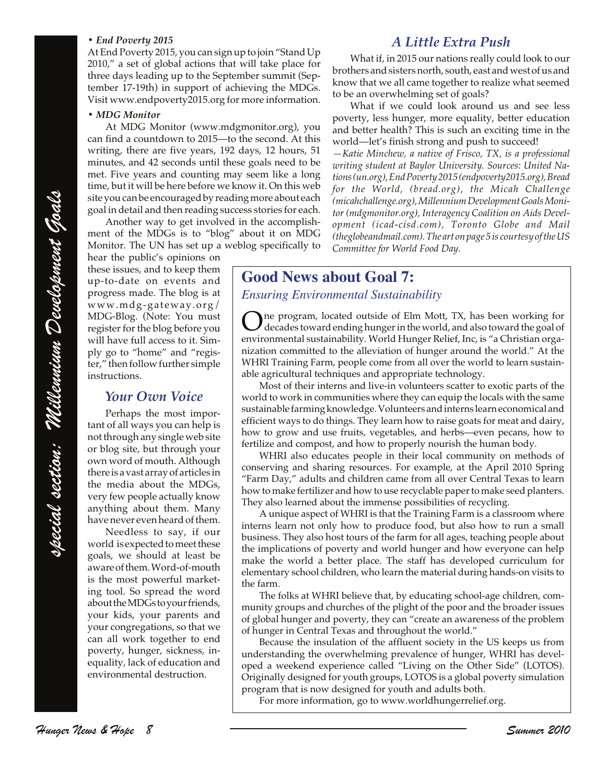#### *• End Poverty 2015*

At End Poverty 2015, you can sign up to join "Stand Up 2010," a set of global actions that will take place for three days leading up to the September summit (September 17-19th) in support of achieving the MDGs. Visit www.endpoverty2015.org for more information.

#### *• MDG Monitor*

At MDG Monitor (www.mdgmonitor.org), you can find a countdown to 2015—to the second. At this writing, there are five years, 192 days, 12 hours, 51 minutes, and 42 seconds until these goals need to be met. Five years and counting may seem like a long time, but it will be here before we know it. On this web site you can be encouraged by reading more about each goal in detail and then reading success stories for each.

Another way to get involved in the accomplishment of the MDGs is to "blog" about it on MDG Monitor. The UN has set up a weblog specifically to

hear the public's opinions on these issues, and to keep them up-to-date on events and progress made. The blog is at www.mdg-gateway.org/ MDG-Blog. (Note: You must register for the blog before you will have full access to it. Simply go to "home" and "register," then follow further simple instructions.

#### *Your Own Voice*

Perhaps the most important of all ways you can help is not through any single web site or blog site, but through your own word of mouth. Although there is a vast array of articles in the media about the MDGs, very few people actually know anything about them. Many have never even heard of them.

Needless to say, if our world is expected to meet these goals, we should at least be aware of them. Word-of-mouth is the most powerful marketing tool. So spread the word about the MDGs to your friends, your kids, your parents and your congregations, so that we can all work together to end poverty, hunger, sickness, inequality, lack of education and environmental destruction.

## *A Little Extra Push*

What if, in 2015 our nations really could look to our brothers and sisters north, south, east and west of us and know that we all came together to realize what seemed to be an overwhelming set of goals?

What if we could look around us and see less poverty, less hunger, more equality, better education and better health? This is such an exciting time in the world—let's finish strong and push to succeed!

*—Katie Minchew, a native of Frisco, TX, is a professional writing student at Baylor University. Sources: United Nations (un.org), End Poverty 2015 (endpoverty2015.org), Bread for the World, (bread.org), the Micah Challenge (micahchallenge.org), Millennium Development Goals Monitor (mdgmonitor.org), Interagency Coalition on Aids Development (icad-cisd.com), Toronto Globe and Mail (theglobeandmail.com). The art on page 5 is courtesy of the US Committee for World Food Day.*

## **Good News about Goal 7:**

#### *Ensuring Environmental Sustainability*

One program, located outside of Elm Mott, TX, has been working for<br>decades toward ending hunger in the world, and also toward the goal of<br>maximum and location bility. World Hunger Polis for a is " Christian and environmental sustainability. World Hunger Relief, Inc, is "a Christian organization committed to the alleviation of hunger around the world." At the WHRI Training Farm, people come from all over the world to learn sustainable agricultural techniques and appropriate technology.

Most of their interns and live-in volunteers scatter to exotic parts of the world to work in communities where they can equip the locals with the same sustainable farming knowledge. Volunteers and interns learn economical and efficient ways to do things. They learn how to raise goats for meat and dairy, how to grow and use fruits, vegetables, and herbs—even pecans, how to fertilize and compost, and how to properly nourish the human body.

WHRI also educates people in their local community on methods of conserving and sharing resources. For example, at the April 2010 Spring "Farm Day," adults and children came from all over Central Texas to learn how to make fertilizer and how to use recyclable paper to make seed planters. They also learned about the immense possibilities of recycling.

species the model of the specifical section of the specifical section is a specifical section of the specifical section of the specifical section of the specifical section of the specifical section of the specifical secti A unique aspect of WHRI is that the Training Farm is a classroom where interns learn not only how to produce food, but also how to run a small business. They also host tours of the farm for all ages, teaching people about the implications of poverty and world hunger and how everyone can help make the world a better place. The staff has developed curriculum for elementary school children, who learn the material during hands-on visits to the farm.

The folks at WHRI believe that, by educating school-age children, community groups and churches of the plight of the poor and the broader issues of global hunger and poverty, they can "create an awareness of the problem of hunger in Central Texas and throughout the world."

Because the insulation of the affluent society in the US keeps us from understanding the overwhelming prevalence of hunger, WHRI has developed a weekend experience called "Living on the Other Side" (LOTOS). Originally designed for youth groups, LOTOS is a global poverty simulation program that is now designed for youth and adults both.

For more information, go to www.worldhungerrelief.org.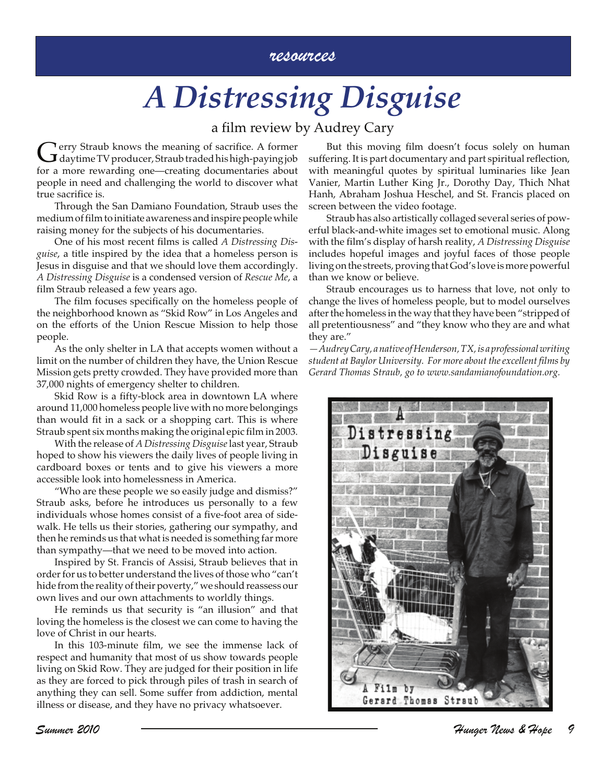## resources

# *A Distressing Disguise*

## a film review by Audrey Cary

Gerry Straub knows the meaning of sacrifice. A former<br>day time TV producer, Straub traded his high-paying job for a more rewarding one—creating documentaries about people in need and challenging the world to discover what true sacrifice is.

Through the San Damiano Foundation, Straub uses the medium of film to initiate awareness and inspire people while raising money for the subjects of his documentaries.

One of his most recent films is called *A Distressing Disguise*, a title inspired by the idea that a homeless person is Jesus in disguise and that we should love them accordingly. *A Distressing Disguise* is a condensed version of *Rescue Me*, a film Straub released a few years ago.

The film focuses specifically on the homeless people of the neighborhood known as "Skid Row" in Los Angeles and on the efforts of the Union Rescue Mission to help those people.

As the only shelter in LA that accepts women without a limit on the number of children they have, the Union Rescue Mission gets pretty crowded. They have provided more than 37,000 nights of emergency shelter to children.

Skid Row is a fifty-block area in downtown LA where around 11,000 homeless people live with no more belongings than would fit in a sack or a shopping cart. This is where Straub spent six months making the original epic film in 2003.

With the release of *A Distressing Disguise* last year, Straub hoped to show his viewers the daily lives of people living in cardboard boxes or tents and to give his viewers a more accessible look into homelessness in America.

"Who are these people we so easily judge and dismiss?" Straub asks, before he introduces us personally to a few individuals whose homes consist of a five-foot area of sidewalk. He tells us their stories, gathering our sympathy, and then he reminds us that what is needed is something far more than sympathy—that we need to be moved into action.

Inspired by St. Francis of Assisi, Straub believes that in order for us to better understand the lives of those who "can't hide from the reality of their poverty," we should reassess our own lives and our own attachments to worldly things.

He reminds us that security is "an illusion" and that loving the homeless is the closest we can come to having the love of Christ in our hearts.

In this 103-minute film, we see the immense lack of respect and humanity that most of us show towards people living on Skid Row. They are judged for their position in life as they are forced to pick through piles of trash in search of anything they can sell. Some suffer from addiction, mental illness or disease, and they have no privacy whatsoever.

But this moving film doesn't focus solely on human suffering. It is part documentary and part spiritual reflection, with meaningful quotes by spiritual luminaries like Jean Vanier, Martin Luther King Jr., Dorothy Day, Thich Nhat Hanh, Abraham Joshua Heschel, and St. Francis placed on screen between the video footage.

Straub has also artistically collaged several series of powerful black-and-white images set to emotional music. Along with the film's display of harsh reality, *A Distressing Disguise* includes hopeful images and joyful faces of those people living on the streets, proving that God's love is more powerful than we know or believe.

Straub encourages us to harness that love, not only to change the lives of homeless people, but to model ourselves after the homeless in the way that they have been "stripped of all pretentiousness" and "they know who they are and what they are."

*—Audrey Cary, a native of Henderson, TX, is a professional writing student at Baylor University. For more about the excellent films by Gerard Thomas Straub, go to www.sandamianofoundation.org.*

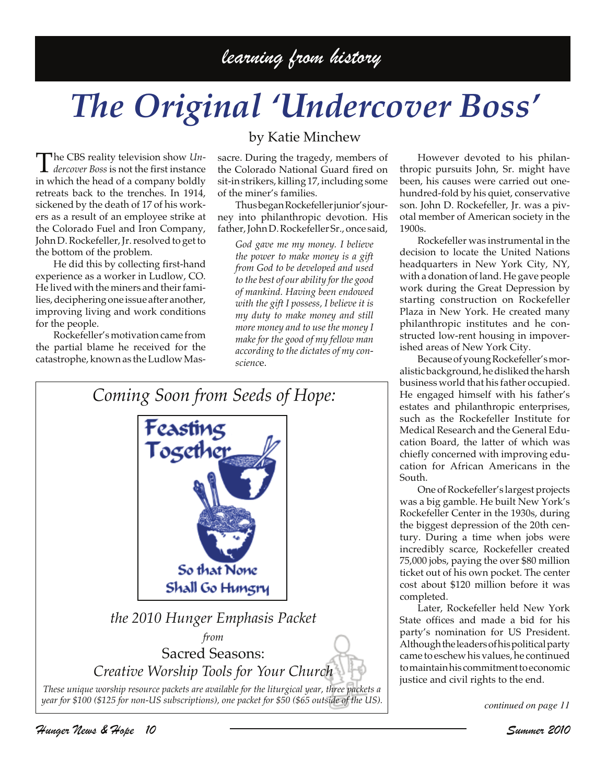## learning from history

# *The Original 'Undercover Boss'*

The CBS reality television show *Un-dercover Boss* is not the first instance in which the head of a company boldly retreats back to the trenches. In 1914, sickened by the death of 17 of his workers as a result of an employee strike at the Colorado Fuel and Iron Company, John D. Rockefeller, Jr. resolved to get to the bottom of the problem.

He did this by collecting first-hand experience as a worker in Ludlow, CO. He lived with the miners and their families, deciphering one issue after another, improving living and work conditions for the people.

Rockefeller's motivation came from the partial blame he received for the catastrophe, known as the Ludlow Mas-

## by Katie Minchew

sacre. During the tragedy, members of the Colorado National Guard fired on sit-in strikers, killing 17, including some of the miner's families.

Thus began Rockefeller junior's journey into philanthropic devotion. His father, John D. Rockefeller Sr., once said,

*God gave me my money. I believe the power to make money is a gift from God to be developed and used to the best of our ability for the good of mankind. Having been endowed with the gift I possess, I believe it is my duty to make money and still more money and to use the money I make for the good of my fellow man according to the dictates of my conscienc*e.



However devoted to his philanthropic pursuits John, Sr. might have been, his causes were carried out onehundred-fold by his quiet, conservative son. John D. Rockefeller, Jr. was a pivotal member of American society in the 1900s.

Rockefeller was instrumental in the decision to locate the United Nations headquarters in New York City, NY, with a donation of land. He gave people work during the Great Depression by starting construction on Rockefeller Plaza in New York. He created many philanthropic institutes and he constructed low-rent housing in impoverished areas of New York City.

Because of young Rockefeller's moralistic background, he disliked the harsh business world that his father occupied. He engaged himself with his father's estates and philanthropic enterprises, such as the Rockefeller Institute for Medical Research and the General Education Board, the latter of which was chiefly concerned with improving education for African Americans in the South.

One of Rockefeller's largest projects was a big gamble. He built New York's Rockefeller Center in the 1930s, during the biggest depression of the 20th century. During a time when jobs were incredibly scarce, Rockefeller created 75,000 jobs, paying the over \$80 million ticket out of his own pocket. The center cost about \$120 million before it was completed.

Later, Rockefeller held New York State offices and made a bid for his party's nomination for US President. Although the leaders of his political party came to eschew his values, he continued to maintain his commitment to economic justice and civil rights to the end.

*continued on page 11*

Hunger News & Hope 10 Summer 2010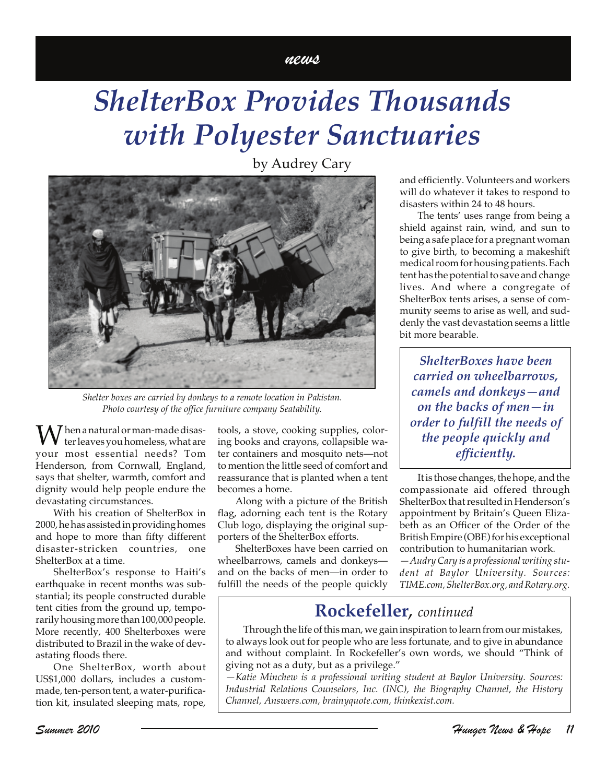#### news

## *ShelterBox Provides Thousands with Polyester Sanctuaries*

by Audrey Cary

*Shelter boxes are carried by donkeys to a remote location in Pakistan. Photo courtesy of the office furniture company Seatability.*

 $\bigvee$  hen a natural or man-made disaster leaves you homeless, what are your most essential needs? Tom Henderson, from Cornwall, England, says that shelter, warmth, comfort and dignity would help people endure the devastating circumstances.

With his creation of ShelterBox in 2000, he has assisted in providing homes and hope to more than fifty different disaster-stricken countries, one ShelterBox at a time.

ShelterBox's response to Haiti's earthquake in recent months was substantial; its people constructed durable tent cities from the ground up, temporarily housing more than 100,000 people. More recently, 400 Shelterboxes were distributed to Brazil in the wake of devastating floods there.

One ShelterBox, worth about US\$1,000 dollars, includes a custommade, ten-person tent, a water-purification kit, insulated sleeping mats, rope,

tools, a stove, cooking supplies, coloring books and crayons, collapsible water containers and mosquito nets—not to mention the little seed of comfort and reassurance that is planted when a tent becomes a home.

Along with a picture of the British flag, adorning each tent is the Rotary Club logo, displaying the original supporters of the ShelterBox efforts.

ShelterBoxes have been carried on wheelbarrows, camels and donkeys and on the backs of men—in order to fulfill the needs of the people quickly

and efficiently. Volunteers and workers will do whatever it takes to respond to disasters within 24 to 48 hours.

The tents' uses range from being a shield against rain, wind, and sun to being a safe place for a pregnant woman to give birth, to becoming a makeshift medical room for housing patients. Each tent has the potential to save and change lives. And where a congregate of ShelterBox tents arises, a sense of community seems to arise as well, and suddenly the vast devastation seems a little bit more bearable.

*ShelterBoxes have been carried on wheelbarrows, camels and donkeys—and on the backs of men—in order to fulfill the needs of the people quickly and efficiently.*

It is those changes, the hope, and the compassionate aid offered through ShelterBox that resulted in Henderson's appointment by Britain's Queen Elizabeth as an Officer of the Order of the British Empire (OBE) for his exceptional contribution to humanitarian work.

*—Audry Cary is a professional writing student at Baylor University. Sources: TIME.com, ShelterBox.org, and Rotary.org.*

## **Rockefeller***, continued*

Through the life of this man, we gain inspiration to learn from our mistakes, to always look out for people who are less fortunate, and to give in abundance and without complaint. In Rockefeller's own words, we should "Think of giving not as a duty, but as a privilege."

*—Katie Minchew is a professional writing student at Baylor University. Sources: Industrial Relations Counselors, Inc. (INC), the Biography Channel, the History Channel, Answers.com, brainyquote.com, thinkexist.com.*